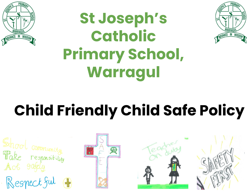

# **St Joseph's Catholic Primary School, Warragul**



# **Child Friendly Child Safe Policy**

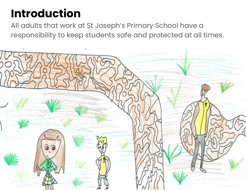#### **Introduction**

All adults that work at St Joseph's Primary School have a responsibility to keep students safe and protected at all times.

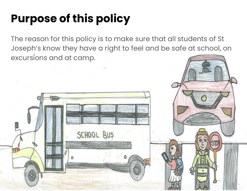# **Purpose of this policy**

The reason for this policy is to make sure that all students of St Joseph's know they have a right to feel and be safe at school, on excursions and at camp.

SCHOOL BUS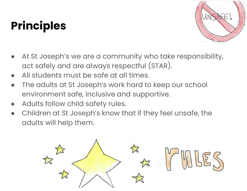# **Principles**



- At St Joseph's we are a community who take responsibility, act safely and are always respectful (STAR).
- All students must be safe at all times.
- The adults at St Joseph's work hard to keep our school environment safe, inclusive and supportive.
- Adults follow child safety rules.
- Children at St Joseph's know that if they feel unsafe, the adults will help them.

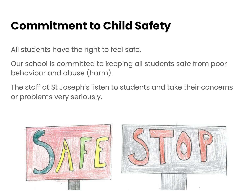# **Commitment to Child Safety**

All students have the right to feel safe.

Our school is committed to keeping all students safe from poor behaviour and abuse (harm).

The staff at St Joseph's listen to students and take their concerns or problems very seriously.



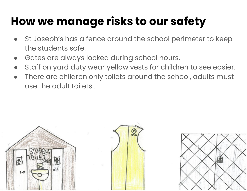### **How we manage risks to our safety**

- St Joseph's has a fence around the school perimeter to keep the students safe.
- Gates are always locked during school hours.
- Staff on yard duty wear yellow vests for children to see easier.
- There are children only toilets around the school, adults must use the adult toilets .



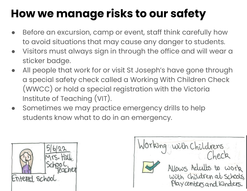# **How we manage risks to our safety**

- Before an excursion, camp or event, staff think carefully how to avoid situations that may cause any danger to students.
- Visitors must always sign in through the office and will wear a sticker badge.
- All people that work for or visit St Joseph's have gone through a special safety check called a Working With Children Check (WWCC) or hold a special registration with the Victoria Institute of Teaching (VIT).
- Sometimes we may practice emergency drills to help students know what to do in an emergency.



Working with Childrens Allows Adults to work with children at schools, Play centers and Kinders.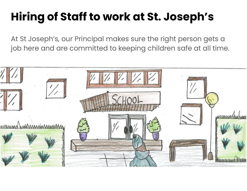# **Hiring of Staff to work at St. Joseph's**

At St Joseph's, our Principal makes sure the right person gets a job here and are committed to keeping children safe at all time.

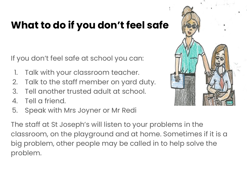#### **What to do if you don't feel safe**

If you don't feel safe at school you can:

- 1. Talk with your classroom teacher.
- 2. Talk to the staff member on yard duty.
- 3. Tell another trusted adult at school.
- 4. Tell a friend.
- 5. Speak with Mrs Joyner or Mr Redi

The staff at St Joseph's will listen to your problems in the classroom, on the playground and at home. Sometimes if it is a big problem, other people may be called in to help solve the problem.